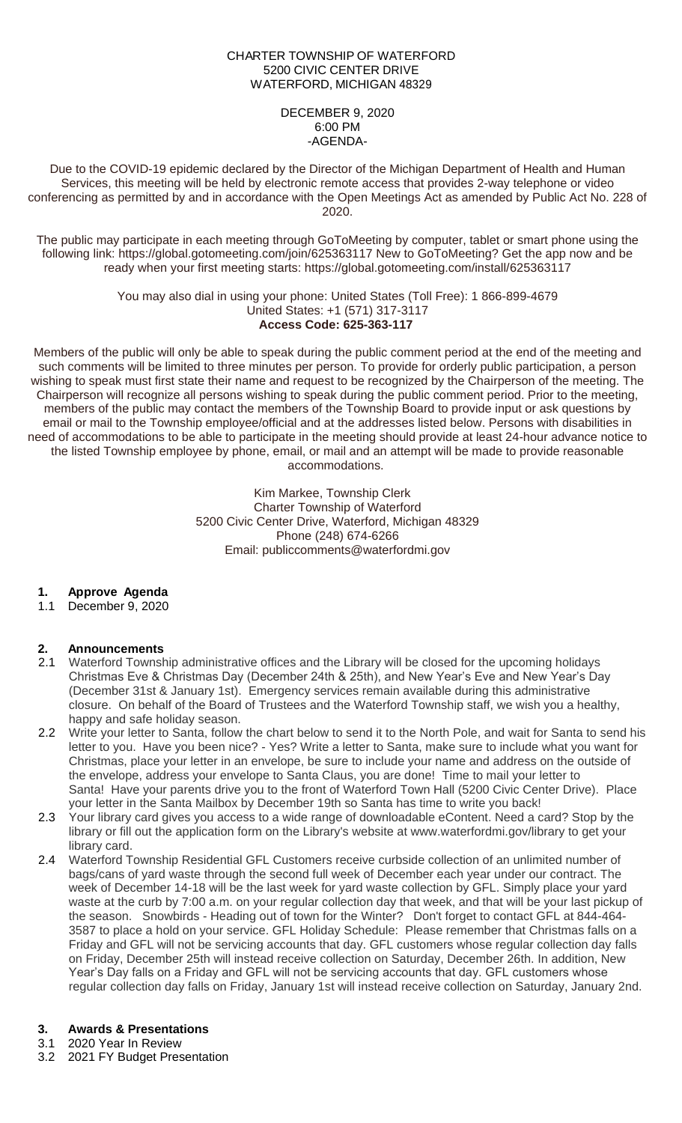### CHARTER TOWNSHIP OF WATERFORD 5200 CIVIC CENTER DRIVE WATERFORD, MICHIGAN 48329

### DECEMBER 9, 2020 6:00 PM -AGENDA-

Due to the COVID-19 epidemic declared by the Director of the Michigan Department of Health and Human Services, this meeting will be held by electronic remote access that provides 2-way telephone or video conferencing as permitted by and in accordance with the Open Meetings Act as amended by Public Act No. 228 of 2020.

The public may participate in each meeting through GoToMeeting by computer, tablet or smart phone using the following link: https://global.gotomeeting.com/join/625363117 New to GoToMeeting? Get the app now and be ready when your first meeting starts: https://global.gotomeeting.com/install/625363117

> You may also dial in using your phone: United States (Toll Free): 1 866-899-4679 United States: +1 (571) 317-3117 **Access Code: 625-363-117**

Members of the public will only be able to speak during the public comment period at the end of the meeting and such comments will be limited to three minutes per person. To provide for orderly public participation, a person wishing to speak must first state their name and request to be recognized by the Chairperson of the meeting. The Chairperson will recognize all persons wishing to speak during the public comment period. Prior to the meeting, members of the public may contact the members of the Township Board to provide input or ask questions by email or mail to the Township employee/official and at the addresses listed below. Persons with disabilities in need of accommodations to be able to participate in the meeting should provide at least 24-hour advance notice to the listed Township employee by phone, email, or mail and an attempt will be made to provide reasonable accommodations.

> Kim Markee, Township Clerk Charter Township of Waterford 5200 Civic Center Drive, Waterford, Michigan 48329 Phone (248) 674-6266 Email: publiccomments@waterfordmi.gov

## **1. Approve Agenda**

1.1 December 9, 2020

## **2. Announcements**

- 2.1 Waterford Township administrative offices and the Library will be closed for the upcoming holidays Christmas Eve & Christmas Day (December 24th & 25th), and New Year's Eve and New Year's Day (December 31st & January 1st). Emergency services remain available during this administrative closure. On behalf of the Board of Trustees and the Waterford Township staff, we wish you a healthy, happy and safe holiday season.
- 2.2 Write your letter to Santa, follow the chart below to send it to the North Pole, and wait for Santa to send his letter to you. Have you been nice? - Yes? Write a letter to Santa, make sure to include what you want for Christmas, place your letter in an envelope, be sure to include your name and address on the outside of the envelope, address your envelope to Santa Claus, you are done! Time to mail your letter to Santa! Have your parents drive you to the front of Waterford Town Hall (5200 Civic Center Drive). Place your letter in the Santa Mailbox by December 19th so Santa has time to write you back!
- 2.3 Your library card gives you access to a wide range of downloadable eContent. Need a card? Stop by the library or fill out the application form on the Library's website at www.waterfordmi.gov/library to get your library card.
- 2.4 Waterford Township Residential GFL Customers receive curbside collection of an unlimited number of bags/cans of yard waste through the second full week of December each year under our contract. The week of December 14-18 will be the last week for yard waste collection by GFL. Simply place your yard waste at the curb by 7:00 a.m. on your regular collection day that week, and that will be your last pickup of the season. Snowbirds - Heading out of town for the Winter? Don't forget to contact GFL at 844-464- 3587 to place a hold on your service. GFL Holiday Schedule: Please remember that Christmas falls on a Friday and GFL will not be servicing accounts that day. GFL customers whose regular collection day falls on Friday, December 25th will instead receive collection on Saturday, December 26th. In addition, New Year's Day falls on a Friday and GFL will not be servicing accounts that day. GFL customers whose regular collection day falls on Friday, January 1st will instead receive collection on Saturday, January 2nd.

## **3. Awards & Presentations**

- 3.1 2020 Year In Review
- 3.2 2021 FY Budget Presentation